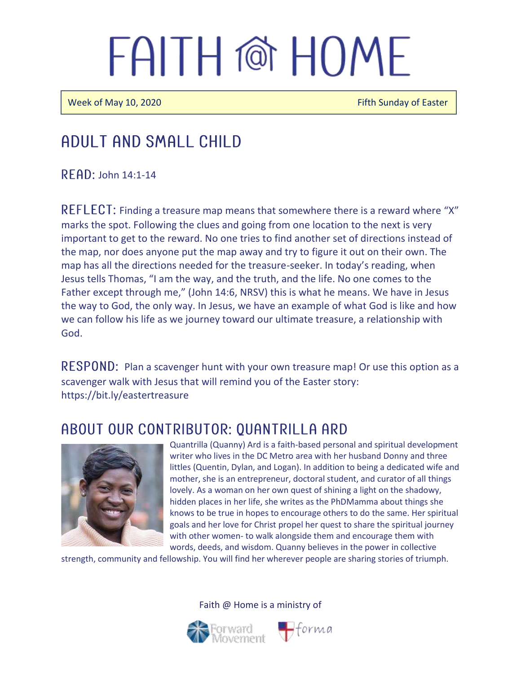Week of May 10, 2020 **Fifth Sunday of Easter** Fifth Sunday of Easter

### Adult and Small Child

 $R$  FAD: John 14:1-14

REFLECT: Finding a treasure map means that somewhere there is a reward where "X" marks the spot. Following the clues and going from one location to the next is very important to get to the reward. No one tries to find another set of directions instead of the map, nor does anyone put the map away and try to figure it out on their own. The map has all the directions needed for the treasure-seeker. In today's reading, when Jesus tells Thomas, "I am the way, and the truth, and the life. No one comes to the Father except through me," (John 14:6, NRSV) this is what he means. We have in Jesus the way to God, the only way. In Jesus, we have an example of what God is like and how we can follow his life as we journey toward our ultimate treasure, a relationship with God.

RESPOND: Plan a scavenger hunt with your own treasure map! Or use this option as a scavenger walk with Jesus that will remind you of the Easter story: https://bit.ly/eastertreasure

#### ABOUT OUR CONTRIBUTOR: QUANTRILLA ARD



Quantrilla (Quanny) Ard is a faith-based personal and spiritual development writer who lives in the DC Metro area with her husband Donny and three littles (Quentin, Dylan, and Logan). In addition to being a dedicated wife and mother, she is an entrepreneur, doctoral student, and curator of all things lovely. As a woman on her own quest of shining a light on the shadowy, hidden places in her life, she writes as the PhDMamma about things she knows to be true in hopes to encourage others to do the same. Her spiritual goals and her love for Christ propel her quest to share the spiritual journey with other women- to walk alongside them and encourage them with words, deeds, and wisdom. Quanny believes in the power in collective

strength, community and fellowship. You will find her wherever people are sharing stories of triumph.

Faith @ Home is a ministry of

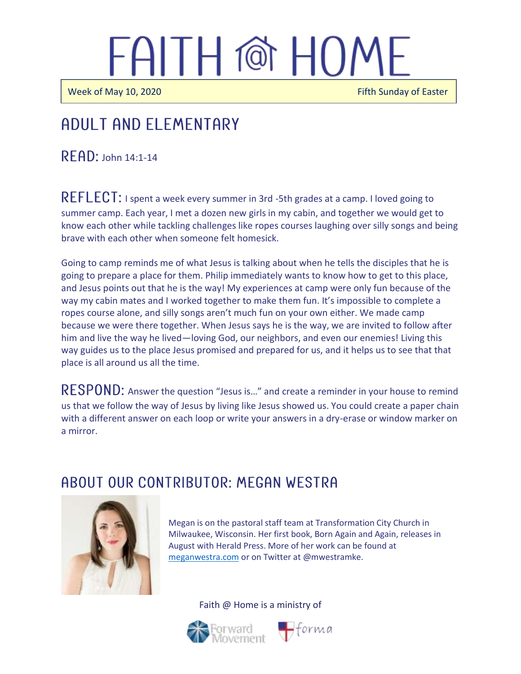Week of May 10, 2020 **Fifth Sunday of Easter** Fifth Sunday of Easter

 $\overline{\phantom{a}}$ 

#### j ADUI T AND ELEMENTARY

 $R$  $F$  $AD$ : John 14:1-14

REFLECT: I spent a week every summer in 3rd -5th grades at a camp. I loved going to summer camp. Each year, I met a dozen new girls in my cabin, and together we would get to know each other while tackling challenges like ropes courses laughing over silly songs and being brave with each other when someone felt homesick.

Going to camp reminds me of what Jesus is talking about when he tells the disciples that he is going to prepare a place for them. Philip immediately wants to know how to get to this place, and Jesus points out that he is the way! My experiences at camp were only fun because of the way my cabin mates and I worked together to make them fun. It's impossible to complete a ropes course alone, and silly songs aren't much fun on your own either. We made camp because we were there together. When Jesus says he is the way, we are invited to follow after him and live the way he lived—loving God, our neighbors, and even our enemies! Living this way guides us to the place Jesus promised and prepared for us, and it helps us to see that that place is all around us all the time.

RESPOND: Answer the question "Jesus is..." and create a reminder in your house to remind us that we follow the way of Jesus by living like Jesus showed us. You could create a paper chain with a different answer on each loop or write your answers in a dry-erase or window marker on a mirror.

#### A BOUT OUR CONTRIBUTOR: MEGAN WESTRA



Megan is on the pastoral staff team at Transformation City Church in Milwaukee, Wisconsin. Her first book, Born Again and Again, releases in August with Herald Press. More of her work can be found at [meganwestra.com](https://meganwestra.com/) or on Twitter at @mwestramke.

Faith @ Home is a ministry of



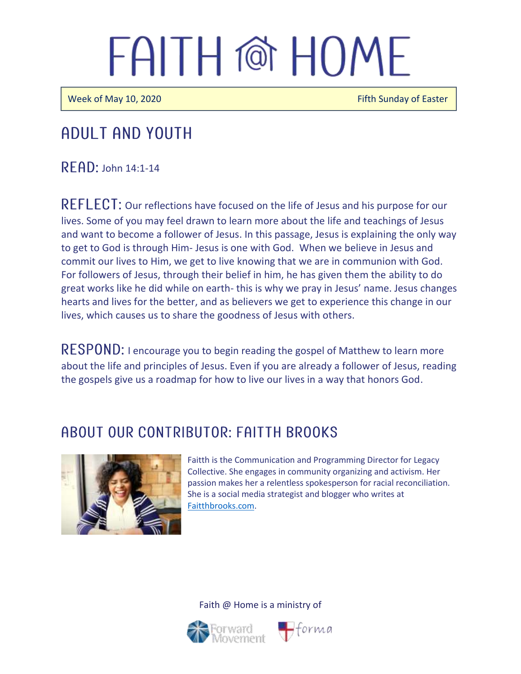Week of May 10, 2020 **Fifth Sunday of Easter** Fifth Sunday of Easter

### Adult and youth

 $R$  FAD: John 14:1-14

REFLECT: Our reflections have focused on the life of Jesus and his purpose for our lives. Some of you may feel drawn to learn more about the life and teachings of Jesus and want to become a follower of Jesus. In this passage, Jesus is explaining the only way to get to God is through Him- Jesus is one with God. When we believe in Jesus and commit our lives to Him, we get to live knowing that we are in communion with God. For followers of Jesus, through their belief in him, he has given them the ability to do great works like he did while on earth- this is why we pray in Jesus' name. Jesus changes hearts and lives for the better, and as believers we get to experience this change in our lives, which causes us to share the goodness of Jesus with others.

RESPOND: I encourage you to begin reading the gospel of Matthew to learn more about the life and principles of Jesus. Even if you are already a follower of Jesus, reading the gospels give us a roadmap for how to live our lives in a way that honors God.

### A BOUT OUR CONTRIBUTOR: FAITTH BROOKS



Faitth is the Communication and Programming Director for Legacy Collective. She engages in community organizing and activism. Her passion makes her a relentless spokesperson for racial reconciliation. She is a social media strategist and blogger who writes at [Faitthbrooks.com.](https://faitthbrooks.com/)

Faith @ Home is a ministry of